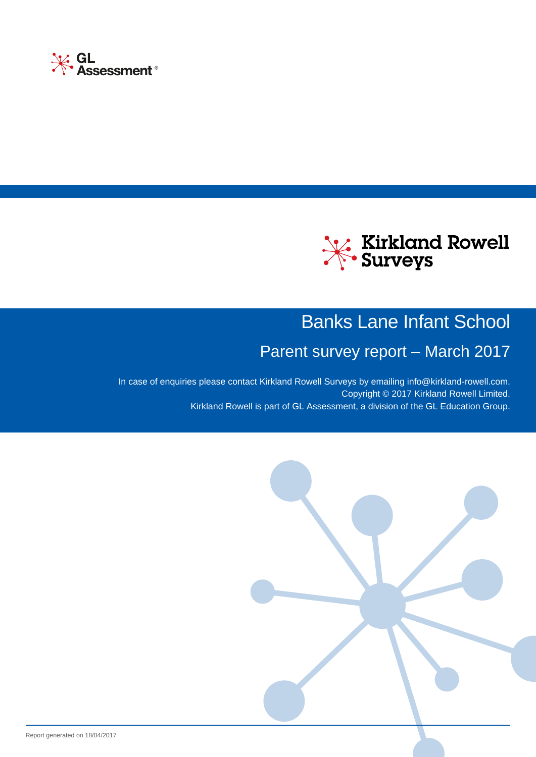



# Banks Lane Infant School

# Parent survey report – March 2017

In case of enquiries please contact Kirkland Rowell Surveys by emailing [info@kirkland-rowell.com](mailto:info@kirkland-rowell.com?subject=Query%20about%20my%20Parent survey report%20-%202939). Copyright © 2017 Kirkland Rowell Limited. Kirkland Rowell is part of GL Assessment, a division of the GL Education Group.

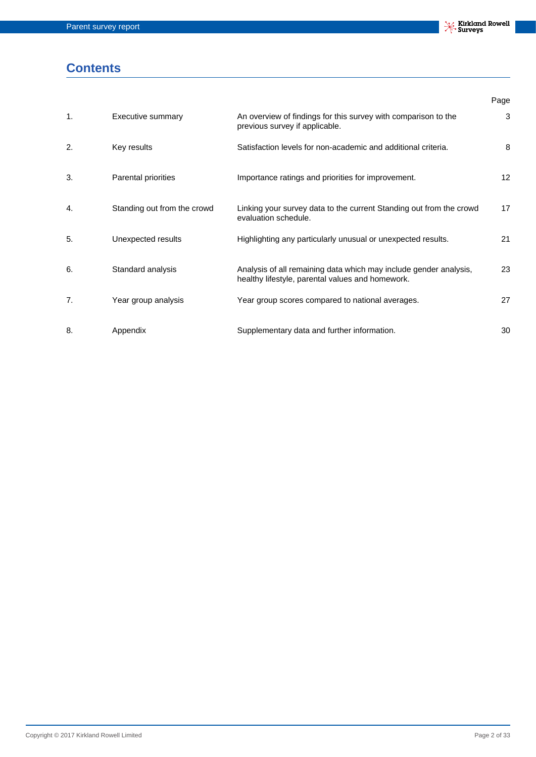## **Contents**

|                |                             |                                                                                                                       | Page              |
|----------------|-----------------------------|-----------------------------------------------------------------------------------------------------------------------|-------------------|
| $\mathbf{1}$ . | <b>Executive summary</b>    | An overview of findings for this survey with comparison to the<br>previous survey if applicable.                      | 3                 |
| 2.             | Key results                 | Satisfaction levels for non-academic and additional criteria.                                                         | 8                 |
| 3.             | Parental priorities         | Importance ratings and priorities for improvement.                                                                    | $12 \overline{ }$ |
| 4.             | Standing out from the crowd | Linking your survey data to the current Standing out from the crowd<br>evaluation schedule.                           | 17                |
| 5.             | Unexpected results          | Highlighting any particularly unusual or unexpected results.                                                          | 21                |
| 6.             | Standard analysis           | Analysis of all remaining data which may include gender analysis,<br>healthy lifestyle, parental values and homework. | 23                |
| 7.             | Year group analysis         | Year group scores compared to national averages.                                                                      | 27                |
| 8.             | Appendix                    | Supplementary data and further information.                                                                           | 30                |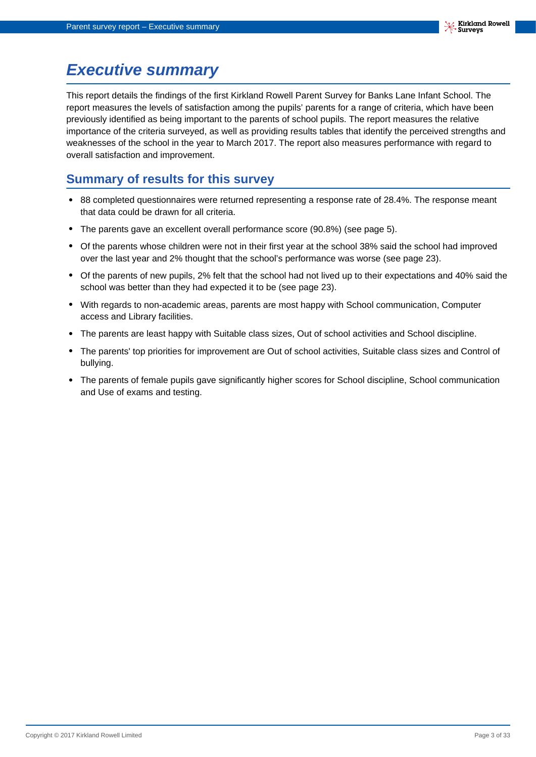# <span id="page-2-0"></span>**Executive summary**

This report details the findings of the first Kirkland Rowell Parent Survey for Banks Lane Infant School. The report measures the levels of satisfaction among the pupils' parents for a range of criteria, which have been previously identified as being important to the parents of school pupils. The report measures the relative importance of the criteria surveyed, as well as providing results tables that identify the perceived strengths and weaknesses of the school in the year to March 2017. The report also measures performance with regard to overall satisfaction and improvement.

## **Summary of results for this survey**

- **•** 88 completed questionnaires were returned representing a response rate of 28.4%. The response meant that data could be drawn for all criteria.
- **•** The parents gave an excellent overall performance score (90.8%) (see page 5).
- **•** Of the parents whose children were not in their first year at the school 38% said the school had improved over the last year and 2% thought that the school's performance was worse (see page 23).
- **•** Of the parents of new pupils, 2% felt that the school had not lived up to their expectations and 40% said the school was better than they had expected it to be (see page 23).
- **•** With regards to non-academic areas, parents are most happy with School communication, Computer access and Library facilities.
- **•** The parents are least happy with Suitable class sizes, Out of school activities and School discipline.
- **•** The parents' top priorities for improvement are Out of school activities, Suitable class sizes and Control of bullying.
- **•** The parents of female pupils gave significantly higher scores for School discipline, School communication and Use of exams and testing.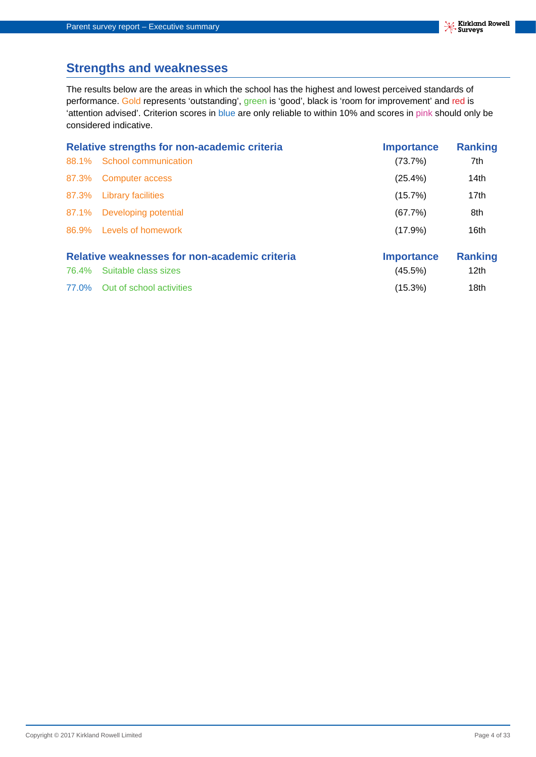## **Strengths and weaknesses**

The results below are the areas in which the school has the highest and lowest perceived standards of performance. Gold represents 'outstanding', green is 'good', black is 'room for improvement' and red is 'attention advised'. Criterion scores in blue are only reliable to within 10% and scores in pink should only be considered indicative.

|       | <b>Relative strengths for non-academic criteria</b>                   | <b>Importance</b>            | <b>Ranking</b>                     |
|-------|-----------------------------------------------------------------------|------------------------------|------------------------------------|
| 88.1% | School communication                                                  | (73.7%)                      | 7th                                |
| 87.3% | Computer access                                                       | (25.4%)                      | 14th                               |
| 87.3% | <b>Library facilities</b>                                             | (15.7%)                      | 17th                               |
|       | 87.1% Developing potential                                            | (67.7%)                      | 8th                                |
|       | 86.9% Levels of homework                                              | (17.9%)                      | 16th                               |
| 76.4% | Relative weaknesses for non-academic criteria<br>Suitable class sizes | <b>Importance</b><br>(45.5%) | <b>Ranking</b><br>12 <sub>th</sub> |

77.0% Out of school activities (15.3%) 18th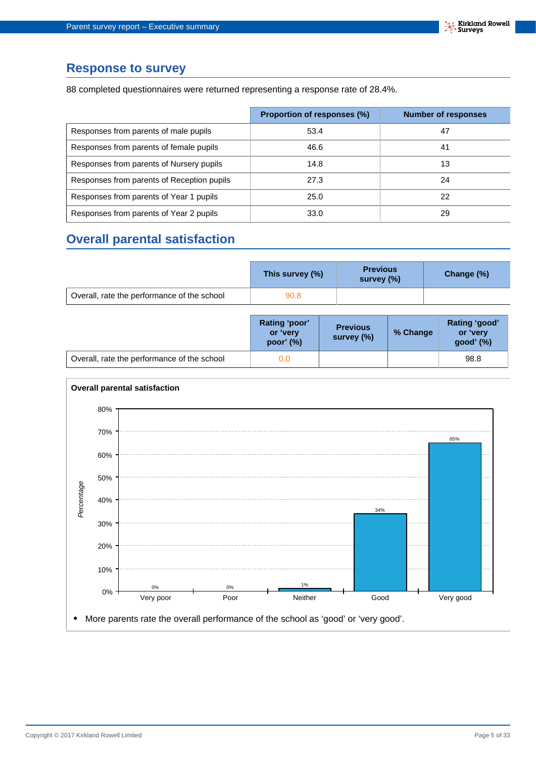#### **Response to survey**

88 completed questionnaires were returned representing a response rate of 28.4%.

|                                            | Proportion of responses (%) | <b>Number of responses</b> |
|--------------------------------------------|-----------------------------|----------------------------|
| Responses from parents of male pupils      | 53.4                        | 47                         |
| Responses from parents of female pupils    | 46.6                        | 41                         |
| Responses from parents of Nursery pupils   | 14.8                        | 13                         |
| Responses from parents of Reception pupils | 27.3                        | 24                         |
| Responses from parents of Year 1 pupils    | 25.0                        | 22                         |
| Responses from parents of Year 2 pupils    | 33.0                        | 29                         |

## **Overall parental satisfaction**

|                                             | This survey (%) | <b>Previous</b><br>survey (%) | Change (%) |
|---------------------------------------------|-----------------|-------------------------------|------------|
| Overall, rate the performance of the school | 90.8            |                               |            |

|                                             | Rating 'poor'<br>or 'very<br>poor' $(%)$ | <b>Previous</b><br>survey (%) | % Change | Rating 'good'<br>or 'very<br>good' (%) |
|---------------------------------------------|------------------------------------------|-------------------------------|----------|----------------------------------------|
| Overall, rate the performance of the school | 0.0                                      |                               |          | 98.8                                   |

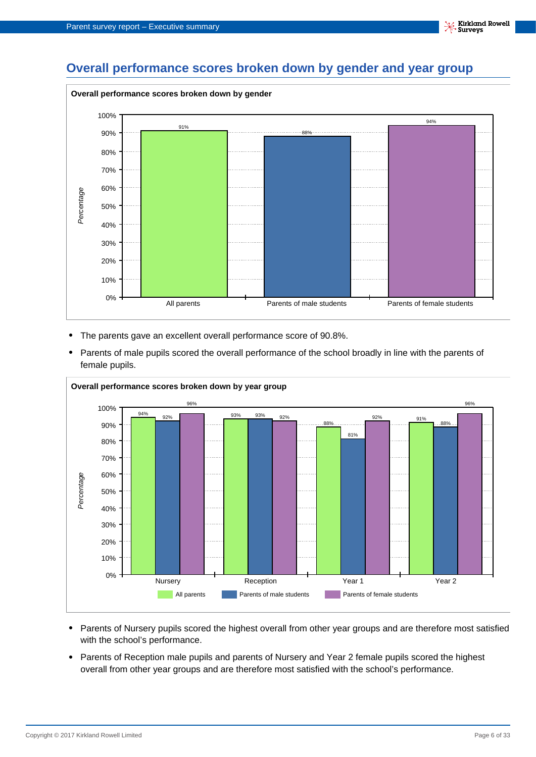## **Overall performance scores broken down by gender and year group**



- **•** The parents gave an excellent overall performance score of 90.8%.
- **•** Parents of male pupils scored the overall performance of the school broadly in line with the parents of female pupils.



- **•** Parents of Nursery pupils scored the highest overall from other year groups and are therefore most satisfied with the school's performance.
- **•** Parents of Reception male pupils and parents of Nursery and Year 2 female pupils scored the highest overall from other year groups and are therefore most satisfied with the school's performance.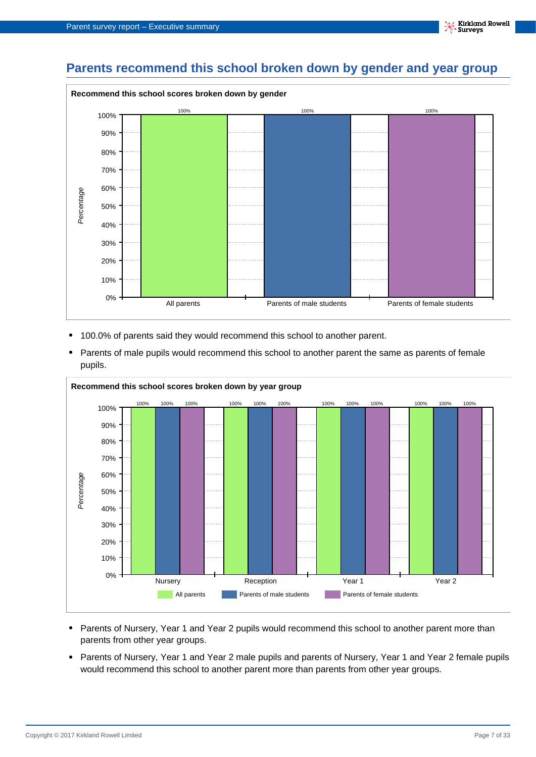## **Parents recommend this school broken down by gender and year group**



- **•** 100.0% of parents said they would recommend this school to another parent.
- **•** Parents of male pupils would recommend this school to another parent the same as parents of female pupils.



- **•** Parents of Nursery, Year 1 and Year 2 pupils would recommend this school to another parent more than parents from other year groups.
- **•** Parents of Nursery, Year 1 and Year 2 male pupils and parents of Nursery, Year 1 and Year 2 female pupils would recommend this school to another parent more than parents from other year groups.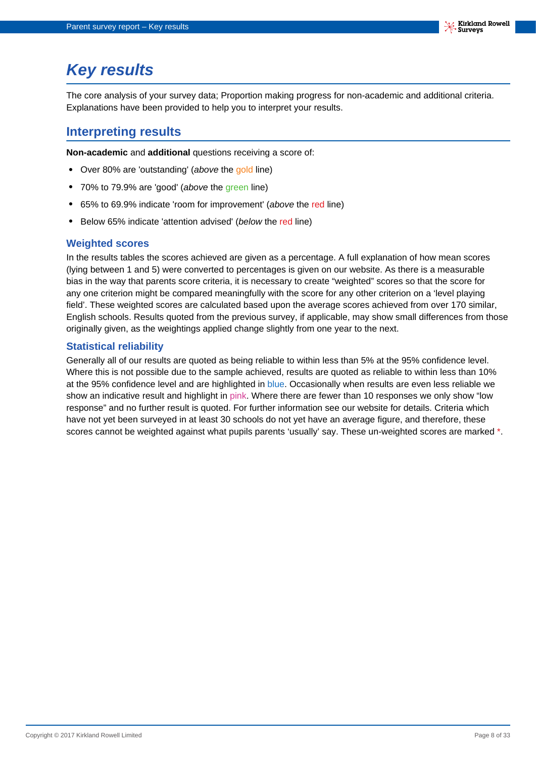# <span id="page-7-0"></span>**Key results**

The core analysis of your survey data; Proportion making progress for non-academic and additional criteria. Explanations have been provided to help you to interpret your results.

## **Interpreting results**

**Non-academic** and **additional** questions receiving a score of:

- **•** Over 80% are 'outstanding' (above the gold line)
- **•** 70% to 79.9% are 'good' (above the green line)
- **•** 65% to 69.9% indicate 'room for improvement' (above the red line)
- **•** Below 65% indicate 'attention advised' (below the red line)

#### **Weighted scores**

In the results tables the scores achieved are given as a percentage. A full explanation of how mean scores (lying between 1 and 5) were converted to percentages is given on our website. As there is a measurable bias in the way that parents score criteria, it is necessary to create "weighted" scores so that the score for any one criterion might be compared meaningfully with the score for any other criterion on a 'level playing field'. These weighted scores are calculated based upon the average scores achieved from over 170 similar, English schools. Results quoted from the previous survey, if applicable, may show small differences from those originally given, as the weightings applied change slightly from one year to the next.

#### **Statistical reliability**

Generally all of our results are quoted as being reliable to within less than 5% at the 95% confidence level. Where this is not possible due to the sample achieved, results are quoted as reliable to within less than 10% at the 95% confidence level and are highlighted in blue. Occasionally when results are even less reliable we show an indicative result and highlight in pink. Where there are fewer than 10 responses we only show "low response" and no further result is quoted. For further information see our website for details. Criteria which have not yet been surveyed in at least 30 schools do not yet have an average figure, and therefore, these scores cannot be weighted against what pupils parents 'usually' say. These un-weighted scores are marked \*.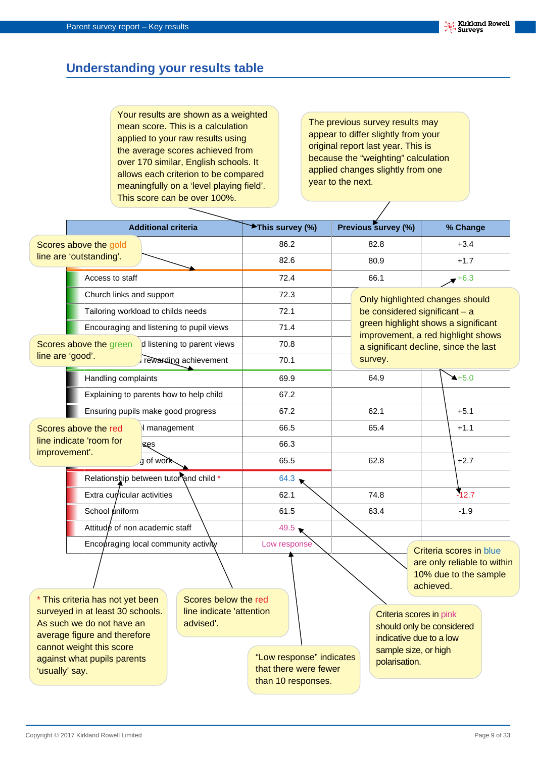## **Understanding your results table**

Your results are shown as a weighted mean score. This is a calculation applied to your raw results using the average scores achieved from over 170 similar, English schools. It allows each criterion to be compared meaningfully on a 'level playing field'. This score can be over 100%.

The previous survey results may appear to differ slightly from your original report last year. This is because the "weighting" calculation applied changes slightly from one year to the next.

 $\overline{\phantom{a}}$ 

|                                                                                                                                                                                                                                                                               |                                         | <b>Additional criteria</b> |                                                                         | <b>★This survey (%)</b> |                                                                                                                          |      | Previous survey (%)             |           | % Change                                                                        |
|-------------------------------------------------------------------------------------------------------------------------------------------------------------------------------------------------------------------------------------------------------------------------------|-----------------------------------------|----------------------------|-------------------------------------------------------------------------|-------------------------|--------------------------------------------------------------------------------------------------------------------------|------|---------------------------------|-----------|---------------------------------------------------------------------------------|
|                                                                                                                                                                                                                                                                               | Scores above the gold                   |                            |                                                                         | 86.2                    |                                                                                                                          | 82.8 |                                 |           | $+3.4$                                                                          |
|                                                                                                                                                                                                                                                                               | line are 'outstanding'.                 |                            |                                                                         | 82.6                    |                                                                                                                          | 80.9 |                                 |           | $+1.7$                                                                          |
|                                                                                                                                                                                                                                                                               | Access to staff                         |                            |                                                                         | 72.4                    |                                                                                                                          |      | 66.1                            |           | $+6.3$                                                                          |
| Church links and support                                                                                                                                                                                                                                                      |                                         |                            |                                                                         | 72.3                    |                                                                                                                          |      | Only highlighted changes should |           |                                                                                 |
|                                                                                                                                                                                                                                                                               | Tailoring workload to childs needs      |                            |                                                                         | 72.1                    |                                                                                                                          |      | be considered significant - a   |           |                                                                                 |
|                                                                                                                                                                                                                                                                               |                                         |                            | Encouraging and listening to pupil views                                | 71.4                    |                                                                                                                          |      |                                 |           | green highlight shows a significant<br>improvement, a red highlight shows       |
|                                                                                                                                                                                                                                                                               | Scores above the green                  |                            | d listening to parent views                                             | 70.8                    |                                                                                                                          |      |                                 |           | a significant decline, since the last                                           |
| line are 'good'.                                                                                                                                                                                                                                                              |                                         |                            | rewarding achievement                                                   | 70.1                    |                                                                                                                          |      | survey.                         |           |                                                                                 |
|                                                                                                                                                                                                                                                                               | Handling complaints                     |                            |                                                                         | 69.9                    |                                                                                                                          |      | 64.9                            |           | $4+5.0$                                                                         |
|                                                                                                                                                                                                                                                                               | Explaining to parents how to help child |                            |                                                                         | 67.2                    |                                                                                                                          |      |                                 |           |                                                                                 |
|                                                                                                                                                                                                                                                                               | Ensuring pupils make good progress      |                            |                                                                         | 67.2                    |                                                                                                                          | 62.1 |                                 |           | $+5.1$                                                                          |
| Scores above the red                                                                                                                                                                                                                                                          |                                         | I management               |                                                                         | 66.5                    |                                                                                                                          |      | 65.4                            |           | $+1.1$                                                                          |
| improvement'.                                                                                                                                                                                                                                                                 | line indicate 'room for                 | izęs                       |                                                                         | 66.3                    |                                                                                                                          |      |                                 |           |                                                                                 |
|                                                                                                                                                                                                                                                                               |                                         | g of work                  |                                                                         | 65.5                    |                                                                                                                          |      | 62.8                            |           | $+2.7$                                                                          |
|                                                                                                                                                                                                                                                                               | Relationship between tutor and child *  |                            |                                                                         | 64.3                    |                                                                                                                          |      |                                 |           |                                                                                 |
|                                                                                                                                                                                                                                                                               | Extra curricular activities             |                            |                                                                         | 62.1                    |                                                                                                                          |      | 74.8                            |           | $-12.7$                                                                         |
|                                                                                                                                                                                                                                                                               | School uniform                          |                            |                                                                         | 61.5                    |                                                                                                                          |      | 63.4                            |           | $-1.9$                                                                          |
|                                                                                                                                                                                                                                                                               | Attitude of non academic staff          |                            |                                                                         | $49.5 \bullet$          |                                                                                                                          |      |                                 |           |                                                                                 |
|                                                                                                                                                                                                                                                                               | Encouraging local community activity    |                            |                                                                         | Low response            |                                                                                                                          |      |                                 | achieved. | Criteria scores in blue<br>are only reliable to within<br>10% due to the sample |
| This criteria has not yet been<br>Scores below the red<br>surveyed in at least 30 schools.<br>line indicate 'attention<br>As such we do not have an<br>advised'.<br>average figure and therefore<br>cannot weight this score<br>against what pupils parents<br>'usually' say. |                                         |                            | "Low response" indicates<br>that there were fewer<br>than 10 responses. |                         | Criteria scores in pink<br>should only be considered<br>indicative due to a low<br>sample size, or high<br>polarisation. |      |                                 |           |                                                                                 |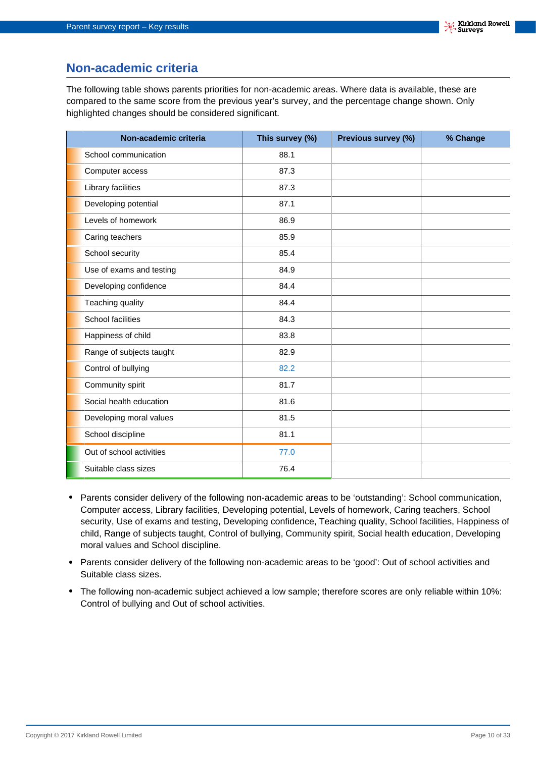## **Non-academic criteria**

The following table shows parents priorities for non-academic areas. Where data is available, these are compared to the same score from the previous year's survey, and the percentage change shown. Only highlighted changes should be considered significant.

| Non-academic criteria    | This survey (%) | Previous survey (%) | % Change |
|--------------------------|-----------------|---------------------|----------|
| School communication     | 88.1            |                     |          |
| Computer access          | 87.3            |                     |          |
| Library facilities       | 87.3            |                     |          |
| Developing potential     | 87.1            |                     |          |
| Levels of homework       | 86.9            |                     |          |
| Caring teachers          | 85.9            |                     |          |
| School security          | 85.4            |                     |          |
| Use of exams and testing | 84.9            |                     |          |
| Developing confidence    | 84.4            |                     |          |
| Teaching quality         | 84.4            |                     |          |
| <b>School facilities</b> | 84.3            |                     |          |
| Happiness of child       | 83.8            |                     |          |
| Range of subjects taught | 82.9            |                     |          |
| Control of bullying      | 82.2            |                     |          |
| Community spirit         | 81.7            |                     |          |
| Social health education  | 81.6            |                     |          |
| Developing moral values  | 81.5            |                     |          |
| School discipline        | 81.1            |                     |          |
| Out of school activities | 77.0            |                     |          |
| Suitable class sizes     | 76.4            |                     |          |

- **•** Parents consider delivery of the following non-academic areas to be 'outstanding': School communication, Computer access, Library facilities, Developing potential, Levels of homework, Caring teachers, School security, Use of exams and testing, Developing confidence, Teaching quality, School facilities, Happiness of child, Range of subjects taught, Control of bullying, Community spirit, Social health education, Developing moral values and School discipline.
- **•** Parents consider delivery of the following non-academic areas to be 'good': Out of school activities and Suitable class sizes.
- **•** The following non-academic subject achieved a low sample; therefore scores are only reliable within 10%: Control of bullying and Out of school activities.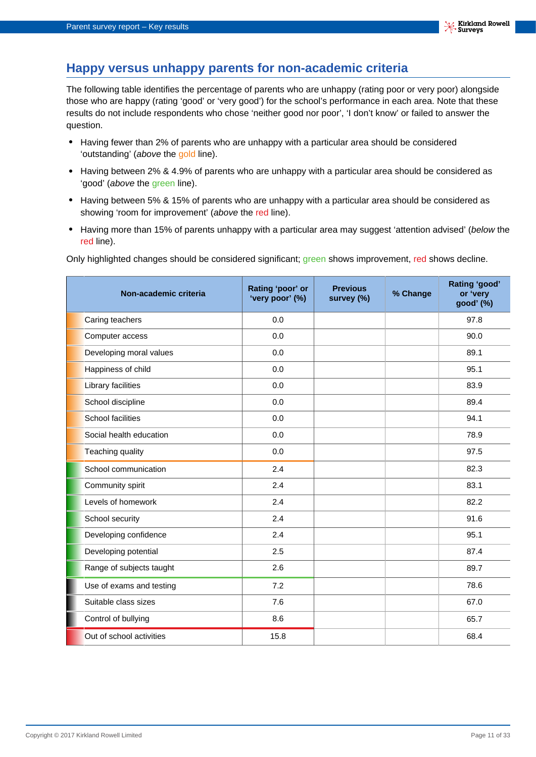## **Happy versus unhappy parents for non-academic criteria**

The following table identifies the percentage of parents who are unhappy (rating poor or very poor) alongside those who are happy (rating 'good' or 'very good') for the school's performance in each area. Note that these results do not include respondents who chose 'neither good nor poor', 'I don't know' or failed to answer the question.

- **•** Having fewer than 2% of parents who are unhappy with a particular area should be considered 'outstanding' (above the gold line).
- **•** Having between 2% & 4.9% of parents who are unhappy with a particular area should be considered as 'good' (above the green line).
- **•** Having between 5% & 15% of parents who are unhappy with a particular area should be considered as showing 'room for improvement' (above the red line).
- Having more than 15% of parents unhappy with a particular area may suggest 'attention advised' (below the red line).

Only highlighted changes should be considered significant; green shows improvement, red shows decline.

| Non-academic criteria    | Rating 'poor' or<br>'very poor' (%) | <b>Previous</b><br>survey (%) | % Change | Rating 'good'<br>or 'very<br>good' (%) |
|--------------------------|-------------------------------------|-------------------------------|----------|----------------------------------------|
| Caring teachers          | 0.0                                 |                               |          | 97.8                                   |
| Computer access          | 0.0                                 |                               |          | 90.0                                   |
| Developing moral values  | 0.0                                 |                               |          | 89.1                                   |
| Happiness of child       | 0.0                                 |                               |          | 95.1                                   |
| Library facilities       | 0.0                                 |                               |          | 83.9                                   |
| School discipline        | 0.0                                 |                               |          | 89.4                                   |
| <b>School facilities</b> | 0.0                                 |                               |          | 94.1                                   |
| Social health education  | 0.0                                 |                               |          | 78.9                                   |
| Teaching quality         | 0.0                                 |                               |          | 97.5                                   |
| School communication     | 2.4                                 |                               |          | 82.3                                   |
| Community spirit         | 2.4                                 |                               |          | 83.1                                   |
| Levels of homework       | 2.4                                 |                               |          | 82.2                                   |
| School security          | 2.4                                 |                               |          | 91.6                                   |
| Developing confidence    | 2.4                                 |                               |          | 95.1                                   |
| Developing potential     | 2.5                                 |                               |          | 87.4                                   |
| Range of subjects taught | 2.6                                 |                               |          | 89.7                                   |
| Use of exams and testing | 7.2                                 |                               |          | 78.6                                   |
| Suitable class sizes     | 7.6                                 |                               |          | 67.0                                   |
| Control of bullying      | 8.6                                 |                               |          | 65.7                                   |
| Out of school activities | 15.8                                |                               |          | 68.4                                   |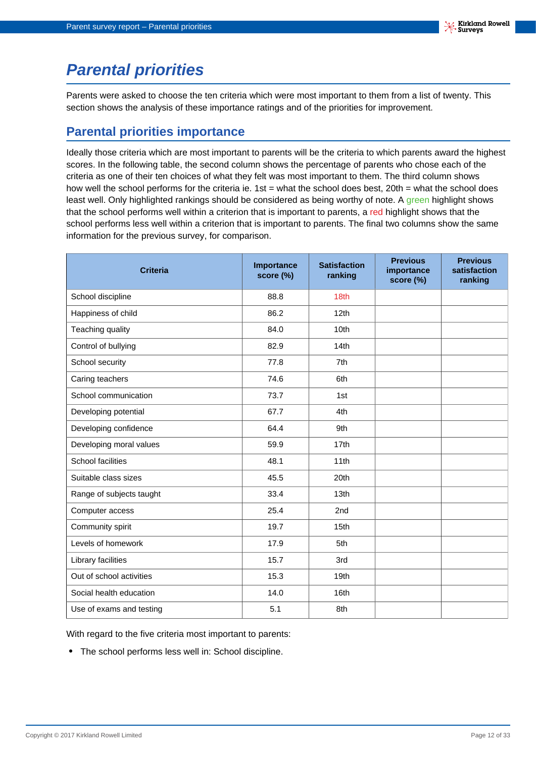# <span id="page-11-0"></span>**Parental priorities**

Parents were asked to choose the ten criteria which were most important to them from a list of twenty. This section shows the analysis of these importance ratings and of the priorities for improvement.

## **Parental priorities importance**

Ideally those criteria which are most important to parents will be the criteria to which parents award the highest scores. In the following table, the second column shows the percentage of parents who chose each of the criteria as one of their ten choices of what they felt was most important to them. The third column shows how well the school performs for the criteria ie. 1st = what the school does best, 20th = what the school does least well. Only highlighted rankings should be considered as being worthy of note. A green highlight shows that the school performs well within a criterion that is important to parents, a red highlight shows that the school performs less well within a criterion that is important to parents. The final two columns show the same information for the previous survey, for comparison.

| <b>Criteria</b>          | Importance<br>score (%) | <b>Satisfaction</b><br>ranking | <b>Previous</b><br>importance<br>score (%) | <b>Previous</b><br>satisfaction<br>ranking |
|--------------------------|-------------------------|--------------------------------|--------------------------------------------|--------------------------------------------|
| School discipline        | 88.8                    | 18th                           |                                            |                                            |
| Happiness of child       | 86.2                    | 12 <sub>th</sub>               |                                            |                                            |
| Teaching quality         | 84.0                    | 10th                           |                                            |                                            |
| Control of bullying      | 82.9                    | 14th                           |                                            |                                            |
| School security          | 77.8                    | 7th                            |                                            |                                            |
| Caring teachers          | 74.6                    | 6th                            |                                            |                                            |
| School communication     | 73.7                    | 1st                            |                                            |                                            |
| Developing potential     | 67.7                    | 4th                            |                                            |                                            |
| Developing confidence    | 64.4                    | 9th                            |                                            |                                            |
| Developing moral values  | 59.9                    | 17th                           |                                            |                                            |
| School facilities        | 48.1                    | 11th                           |                                            |                                            |
| Suitable class sizes     | 45.5                    | 20th                           |                                            |                                            |
| Range of subjects taught | 33.4                    | 13th                           |                                            |                                            |
| Computer access          | 25.4                    | 2nd                            |                                            |                                            |
| Community spirit         | 19.7                    | 15th                           |                                            |                                            |
| Levels of homework       | 17.9                    | 5th                            |                                            |                                            |
| Library facilities       | 15.7                    | 3rd                            |                                            |                                            |
| Out of school activities | 15.3                    | 19 <sub>th</sub>               |                                            |                                            |
| Social health education  | 14.0                    | 16th                           |                                            |                                            |
| Use of exams and testing | 5.1                     | 8th                            |                                            |                                            |

With regard to the five criteria most important to parents:

**•** The school performs less well in: School discipline.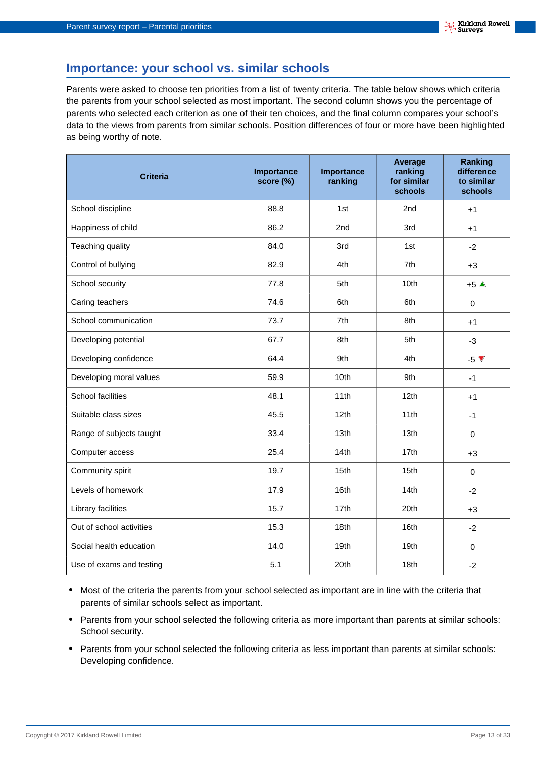## **Importance: your school vs. similar schools**

Parents were asked to choose ten priorities from a list of twenty criteria. The table below shows which criteria the parents from your school selected as most important. The second column shows you the percentage of parents who selected each criterion as one of their ten choices, and the final column compares your school's data to the views from parents from similar schools. Position differences of four or more have been highlighted as being worthy of note.

| <b>Criteria</b>          | Importance<br>score (%) | Importance<br>ranking | Average<br>ranking<br>for similar<br>schools | <b>Ranking</b><br>difference<br>to similar<br>schools |
|--------------------------|-------------------------|-----------------------|----------------------------------------------|-------------------------------------------------------|
| School discipline        | 88.8                    | 1st                   | 2 <sub>nd</sub>                              | $+1$                                                  |
| Happiness of child       | 86.2                    | 2nd                   | 3rd                                          | $+1$                                                  |
| Teaching quality         | 84.0                    | 3rd                   | 1st                                          | $-2$                                                  |
| Control of bullying      | 82.9                    | 4th                   | 7th                                          | $+3$                                                  |
| School security          | 77.8                    | 5th                   | 10 <sub>th</sub>                             | $+5$ $\triangle$                                      |
| Caring teachers          | 74.6                    | 6th                   | 6th                                          | $\pmb{0}$                                             |
| School communication     | 73.7                    | 7th                   | 8th                                          | $+1$                                                  |
| Developing potential     | 67.7                    | 8th                   | 5th                                          | $-3$                                                  |
| Developing confidence    | 64.4                    | 9th                   | 4th                                          | $-5V$                                                 |
| Developing moral values  | 59.9                    | 10th                  | 9th                                          | $-1$                                                  |
| <b>School facilities</b> | 48.1                    | 11th                  | 12th                                         | $+1$                                                  |
| Suitable class sizes     | 45.5                    | 12th                  | 11th                                         | $-1$                                                  |
| Range of subjects taught | 33.4                    | 13th                  | 13th                                         | $\mathbf 0$                                           |
| Computer access          | 25.4                    | 14th                  | 17th                                         | $+3$                                                  |
| Community spirit         | 19.7                    | 15th                  | 15th                                         | $\mathbf 0$                                           |
| Levels of homework       | 17.9                    | 16th                  | 14th                                         | $-2$                                                  |
| Library facilities       | 15.7                    | 17th                  | 20th                                         | $+3$                                                  |
| Out of school activities | 15.3                    | 18th                  | 16th                                         | $-2$                                                  |
| Social health education  | 14.0                    | 19th                  | 19th                                         | $\mathbf 0$                                           |
| Use of exams and testing | 5.1                     | 20th                  | 18th                                         | $-2$                                                  |

- **•** Most of the criteria the parents from your school selected as important are in line with the criteria that parents of similar schools select as important.
- **•** Parents from your school selected the following criteria as more important than parents at similar schools: School security.
- **•** Parents from your school selected the following criteria as less important than parents at similar schools: Developing confidence.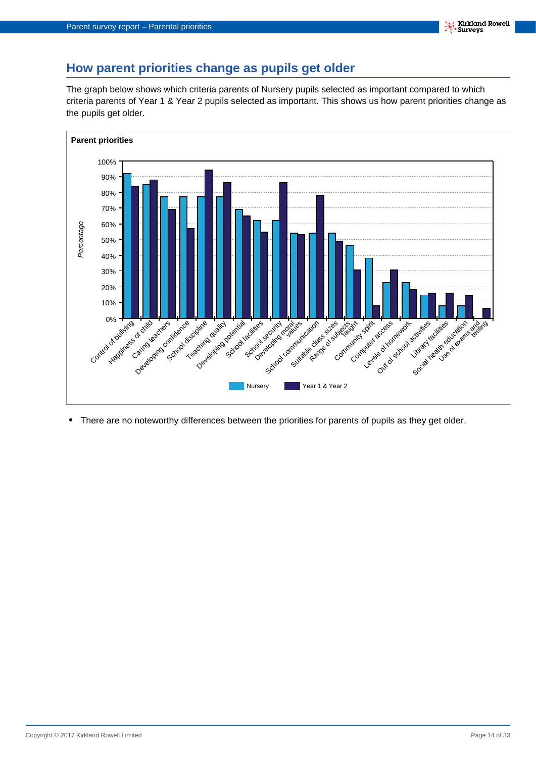## **How parent priorities change as pupils get older**

The graph below shows which criteria parents of Nursery pupils selected as important compared to which criteria parents of Year 1 & Year 2 pupils selected as important. This shows us how parent priorities change as the pupils get older.



**•** There are no noteworthy differences between the priorities for parents of pupils as they get older.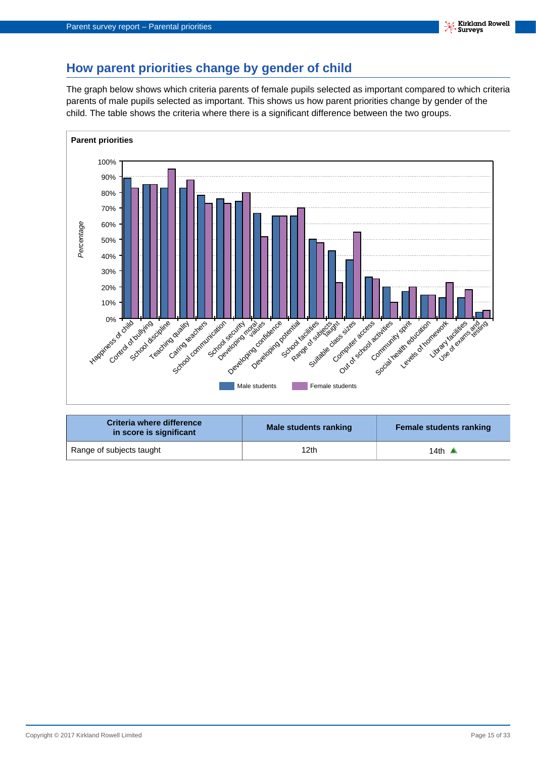## **How parent priorities change by gender of child**

The graph below shows which criteria parents of female pupils selected as important compared to which criteria parents of male pupils selected as important. This shows us how parent priorities change by gender of the child. The table shows the criteria where there is a significant difference between the two groups.



| Criteria where difference<br>in score is significant | Male students ranking | <b>Female students ranking</b> |
|------------------------------------------------------|-----------------------|--------------------------------|
| Range of subjects taught                             | 12th                  | 14th $\triangle$               |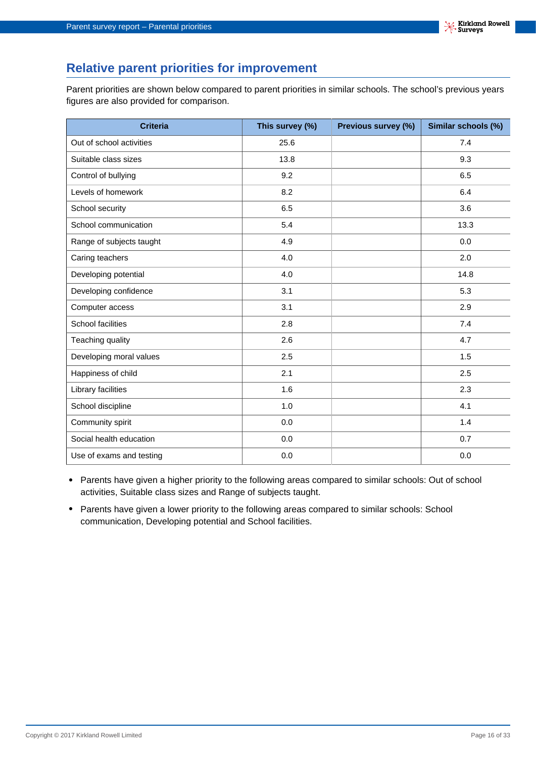## **Relative parent priorities for improvement**

Parent priorities are shown below compared to parent priorities in similar schools. The school's previous years figures are also provided for comparison.

| <b>Criteria</b>          | This survey (%) | Previous survey (%) | Similar schools (%) |
|--------------------------|-----------------|---------------------|---------------------|
| Out of school activities | 25.6            |                     | 7.4                 |
| Suitable class sizes     | 13.8            |                     | 9.3                 |
| Control of bullying      | 9.2             |                     | 6.5                 |
| Levels of homework       | 8.2             |                     | 6.4                 |
| School security          | 6.5             |                     | 3.6                 |
| School communication     | 5.4             |                     | 13.3                |
| Range of subjects taught | 4.9             |                     | 0.0                 |
| Caring teachers          | 4.0             |                     | 2.0                 |
| Developing potential     | 4.0             |                     | 14.8                |
| Developing confidence    | 3.1             |                     | 5.3                 |
| Computer access          | 3.1             |                     | 2.9                 |
| School facilities        | 2.8             |                     | 7.4                 |
| Teaching quality         | 2.6             |                     | 4.7                 |
| Developing moral values  | 2.5             |                     | 1.5                 |
| Happiness of child       | 2.1             |                     | 2.5                 |
| Library facilities       | 1.6             |                     | 2.3                 |
| School discipline        | 1.0             |                     | 4.1                 |
| Community spirit         | 0.0             |                     | 1.4                 |
| Social health education  | 0.0             |                     | 0.7                 |
| Use of exams and testing | 0.0             |                     | 0.0                 |

- **•** Parents have given a higher priority to the following areas compared to similar schools: Out of school activities, Suitable class sizes and Range of subjects taught.
- **•** Parents have given a lower priority to the following areas compared to similar schools: School communication, Developing potential and School facilities.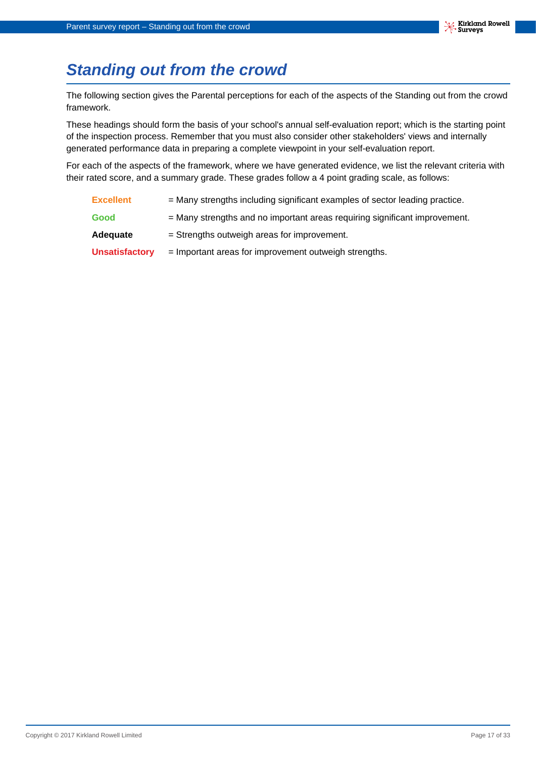# <span id="page-16-0"></span>**Standing out from the crowd**

The following section gives the Parental perceptions for each of the aspects of the Standing out from the crowd framework.

These headings should form the basis of your school's annual self-evaluation report; which is the starting point of the inspection process. Remember that you must also consider other stakeholders' views and internally generated performance data in preparing a complete viewpoint in your self-evaluation report.

For each of the aspects of the framework, where we have generated evidence, we list the relevant criteria with their rated score, and a summary grade. These grades follow a 4 point grading scale, as follows:

- **Excellent** = Many strengths including significant examples of sector leading practice.
- **Good** = Many strengths and no important areas requiring significant improvement.
- Adequate = Strengths outweigh areas for improvement.
- **Unsatisfactory** = Important areas for improvement outweigh strengths.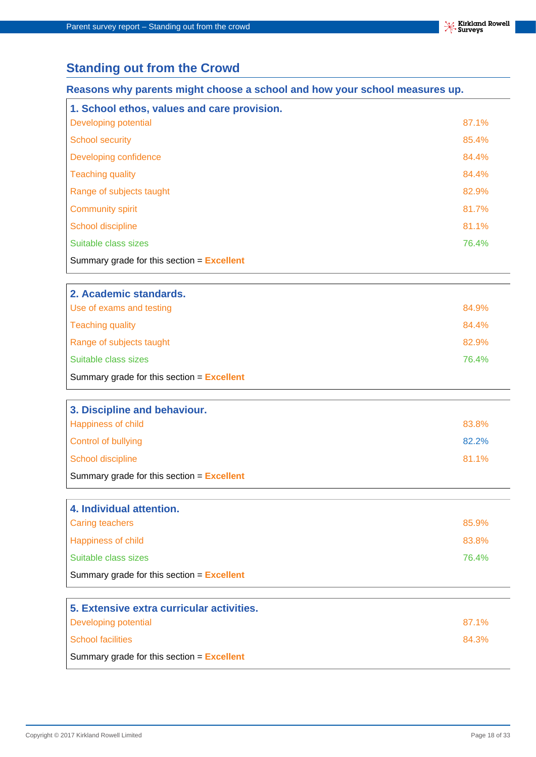## **Standing out from the Crowd**

#### **Reasons why parents might choose a school and how your school measures up.**

| 1. School ethos, values and care provision.  |       |
|----------------------------------------------|-------|
| <b>Developing potential</b>                  | 87.1% |
| <b>School security</b>                       | 85.4% |
| Developing confidence                        | 84.4% |
| <b>Teaching quality</b>                      | 84.4% |
| Range of subjects taught                     | 82.9% |
| <b>Community spirit</b>                      | 81.7% |
| School discipline                            | 81.1% |
| Suitable class sizes                         | 76.4% |
| Summary grade for this section $=$ Excellent |       |

| 2. Academic standards.                              |       |
|-----------------------------------------------------|-------|
| Use of exams and testing                            | 84.9% |
| Teaching quality                                    | 84.4% |
| Range of subjects taught                            | 82.9% |
| Suitable class sizes                                | 76.4% |
| Summary grade for this section $=$ <b>Excellent</b> |       |

| 3. Discipline and behaviour.                        |       |
|-----------------------------------------------------|-------|
| <b>Happiness of child</b>                           | 83.8% |
| Control of bullying                                 | 82.2% |
| School discipline                                   | 81.1% |
| Summary grade for this section $=$ <b>Excellent</b> |       |

| 4. Individual attention.                     |       |
|----------------------------------------------|-------|
| Caring teachers                              | 85.9% |
| <b>Happiness of child</b>                    | 83.8% |
| Suitable class sizes                         | 76.4% |
| Summary grade for this section $=$ Excellent |       |

| 5. Extensive extra curricular activities.    |       |
|----------------------------------------------|-------|
| Developing potential                         | 87.1% |
| School facilities                            | 84.3% |
| Summary grade for this section $=$ Excellent |       |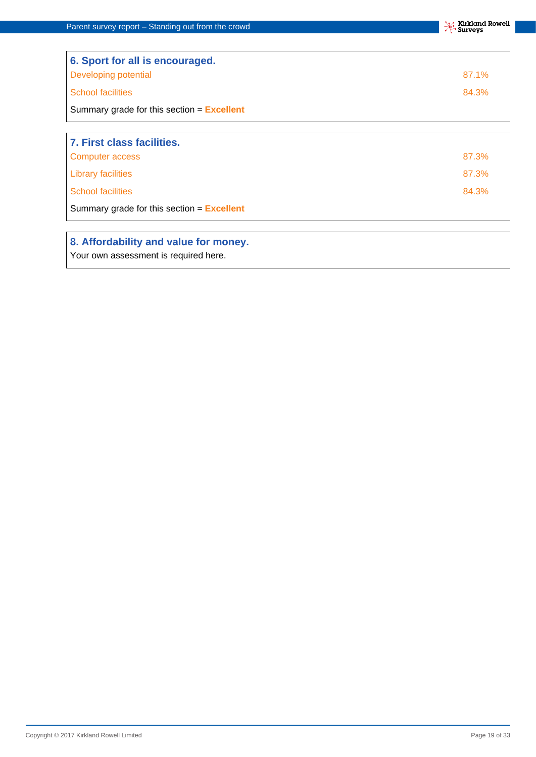| 6. Sport for all is encouraged.                     |       |
|-----------------------------------------------------|-------|
| Developing potential                                | 87.1% |
| <b>School facilities</b>                            | 84.3% |
| Summary grade for this section $=$ <b>Excellent</b> |       |
|                                                     |       |
| 7. First class facilities.                          |       |
| Computer access                                     | 87.3% |
| <b>Library facilities</b>                           | 87.3% |
| <b>School facilities</b>                            | 84.3% |
| Summary grade for this section $=$ <b>Excellent</b> |       |

#### **8. Affordability and value for money.**

Your own assessment is required here.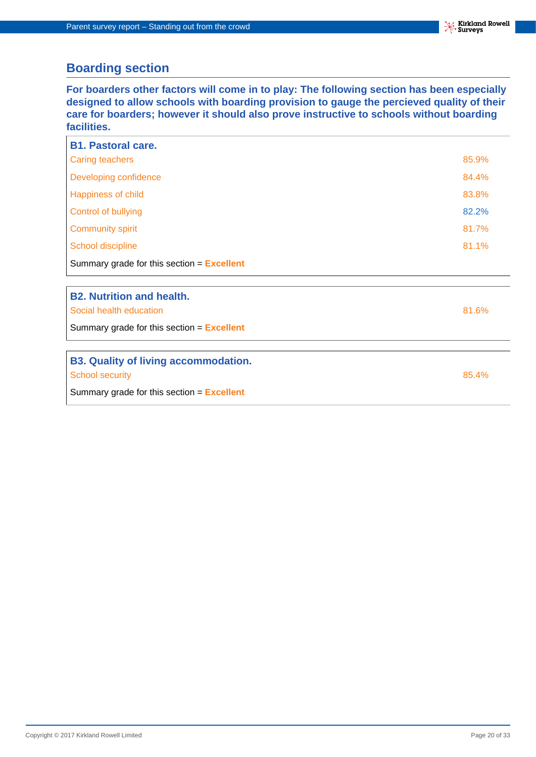## **Boarding section**

**For boarders other factors will come in to play: The following section has been especially designed to allow schools with boarding provision to gauge the percieved quality of their care for boarders; however it should also prove instructive to schools without boarding facilities.**

| <b>B1. Pastoral care.</b>                           |       |
|-----------------------------------------------------|-------|
| <b>Caring teachers</b>                              | 85.9% |
| Developing confidence                               | 84.4% |
| <b>Happiness of child</b>                           | 83.8% |
| Control of bullying                                 | 82.2% |
| <b>Community spirit</b>                             | 81.7% |
| School discipline                                   | 81.1% |
| Summary grade for this section $=$ <b>Excellent</b> |       |
|                                                     |       |
| <b>B2. Nutrition and health.</b>                    |       |
| Social health education                             | 81.6% |
| Summary grade for this section $=$ Excellent        |       |
|                                                     |       |
| <b>B3. Quality of living accommodation.</b>         |       |
| <b>School security</b>                              | 85.4% |
| Summary grade for this section $=$ Excellent        |       |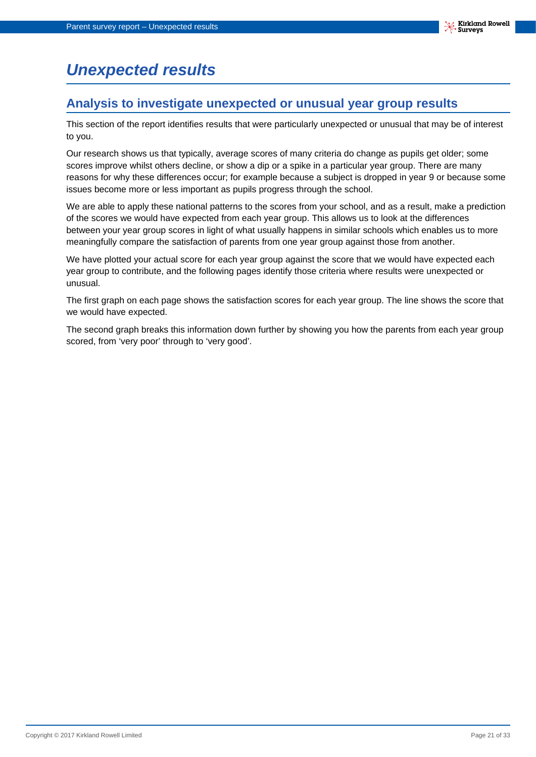# <span id="page-20-0"></span>**Unexpected results**

## **Analysis to investigate unexpected or unusual year group results**

This section of the report identifies results that were particularly unexpected or unusual that may be of interest to you.

Our research shows us that typically, average scores of many criteria do change as pupils get older; some scores improve whilst others decline, or show a dip or a spike in a particular year group. There are many reasons for why these differences occur; for example because a subject is dropped in year 9 or because some issues become more or less important as pupils progress through the school.

We are able to apply these national patterns to the scores from your school, and as a result, make a prediction of the scores we would have expected from each year group. This allows us to look at the differences between your year group scores in light of what usually happens in similar schools which enables us to more meaningfully compare the satisfaction of parents from one year group against those from another.

We have plotted your actual score for each year group against the score that we would have expected each year group to contribute, and the following pages identify those criteria where results were unexpected or unusual.

The first graph on each page shows the satisfaction scores for each year group. The line shows the score that we would have expected.

The second graph breaks this information down further by showing you how the parents from each year group scored, from 'very poor' through to 'very good'.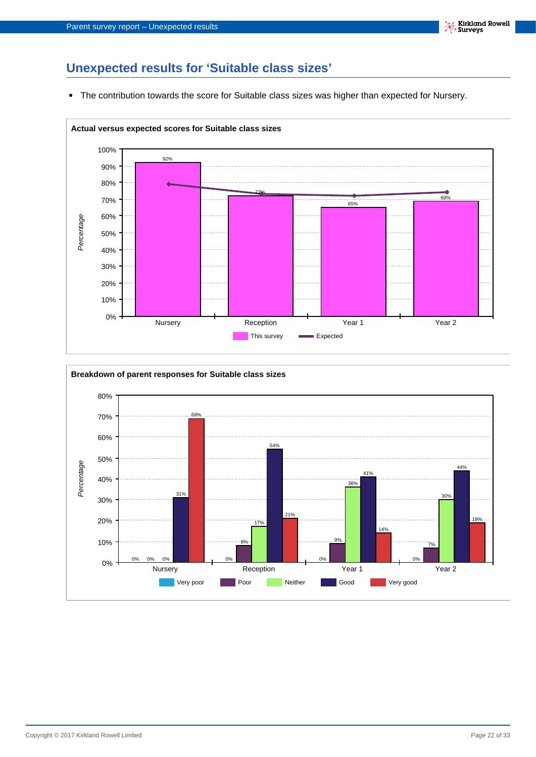## **Unexpected results for 'Suitable class sizes'**

**•** The contribution towards the score for Suitable class sizes was higher than expected for Nursery.



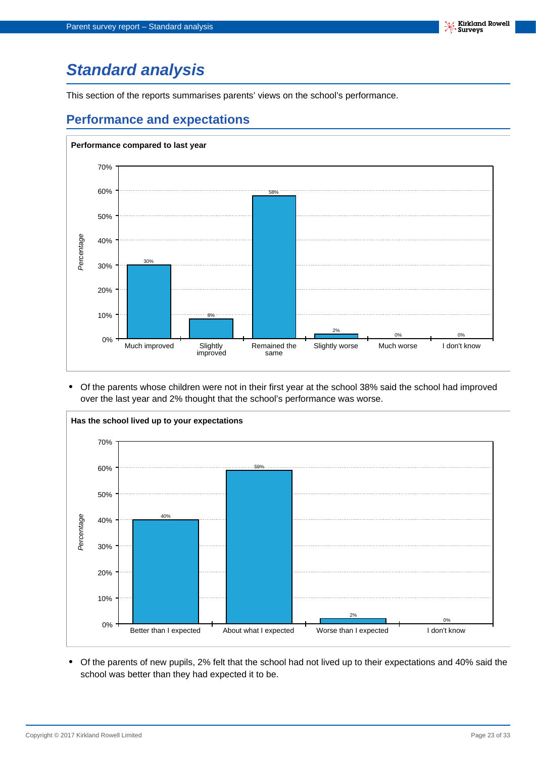# <span id="page-22-0"></span>**Standard analysis**

This section of the reports summarises parents' views on the school's performance.

## **Performance and expectations**



**•** Of the parents whose children were not in their first year at the school 38% said the school had improved over the last year and 2% thought that the school's performance was worse.



**•** Of the parents of new pupils, 2% felt that the school had not lived up to their expectations and 40% said the school was better than they had expected it to be.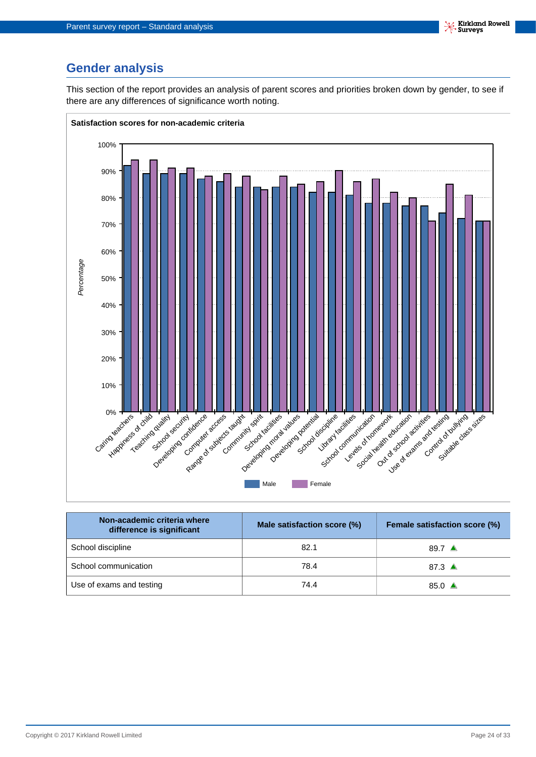## **Gender analysis**

This section of the report provides an analysis of parent scores and priorities broken down by gender, to see if there are any differences of significance worth noting.



| Non-academic criteria where<br>difference is significant | Male satisfaction score (%) | <b>Female satisfaction score (%)</b> |
|----------------------------------------------------------|-----------------------------|--------------------------------------|
| School discipline                                        | 82.1                        | 89.7 $\triangle$                     |
| School communication                                     | 78.4                        | 87.3 $\triangle$                     |
| Use of exams and testing                                 | 74.4                        | 85.0 $\triangle$                     |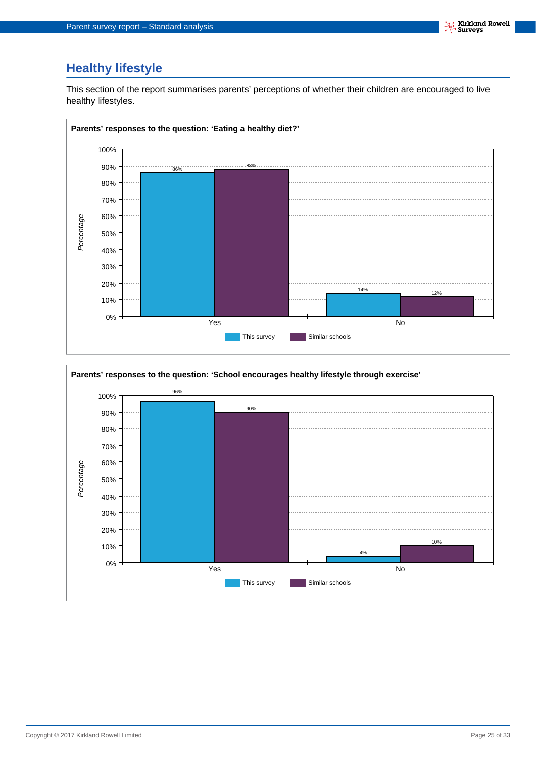## **Healthy lifestyle**

This section of the report summarises parents' perceptions of whether their children are encouraged to live healthy lifestyles.



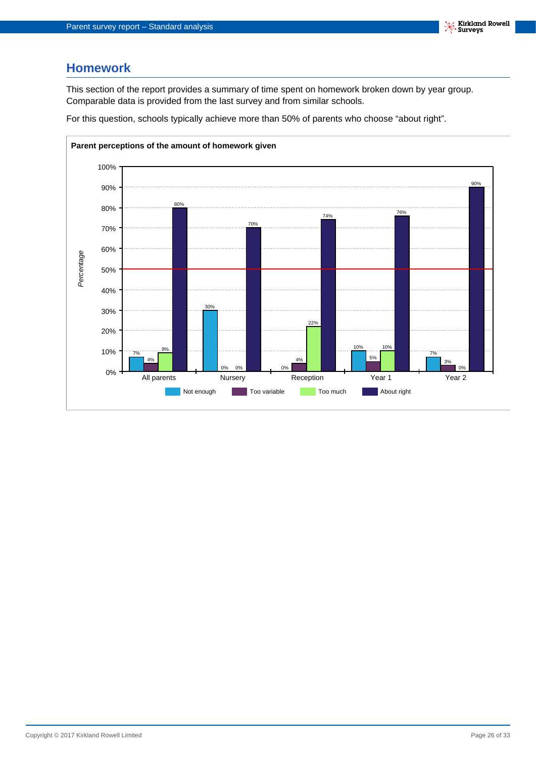## **Homework**

This section of the report provides a summary of time spent on homework broken down by year group. Comparable data is provided from the last survey and from similar schools.

For this question, schools typically achieve more than 50% of parents who choose "about right".

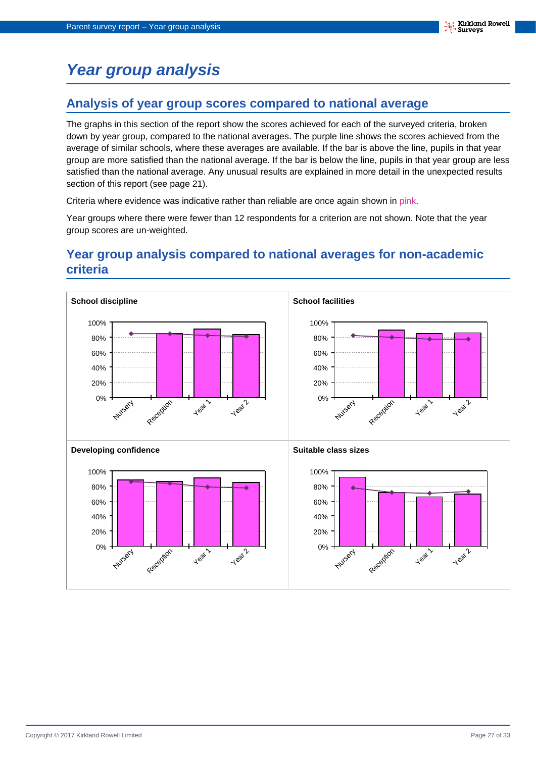# <span id="page-26-0"></span>**Year group analysis**

## **Analysis of year group scores compared to national average**

The graphs in this section of the report show the scores achieved for each of the surveyed criteria, broken down by year group, compared to the national averages. The purple line shows the scores achieved from the average of similar schools, where these averages are available. If the bar is above the line, pupils in that year group are more satisfied than the national average. If the bar is below the line, pupils in that year group are less satisfied than the national average. Any unusual results are explained in more detail in the unexpected results section of this report (see page 21).

Criteria where evidence was indicative rather than reliable are once again shown in pink.

Year groups where there were fewer than 12 respondents for a criterion are not shown. Note that the year group scores are un-weighted.

## **Year group analysis compared to national averages for non-academic criteria**

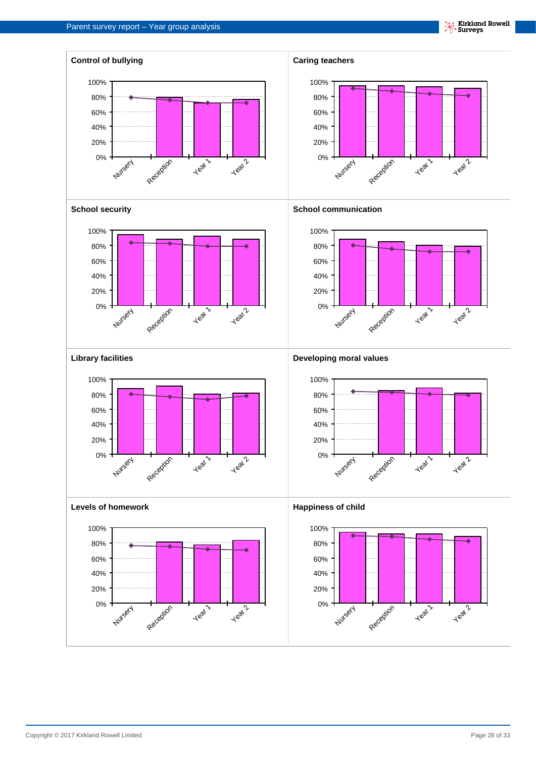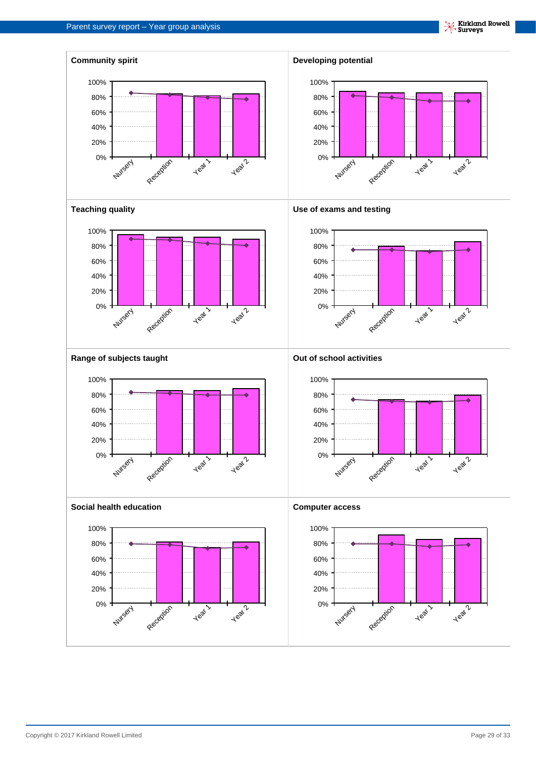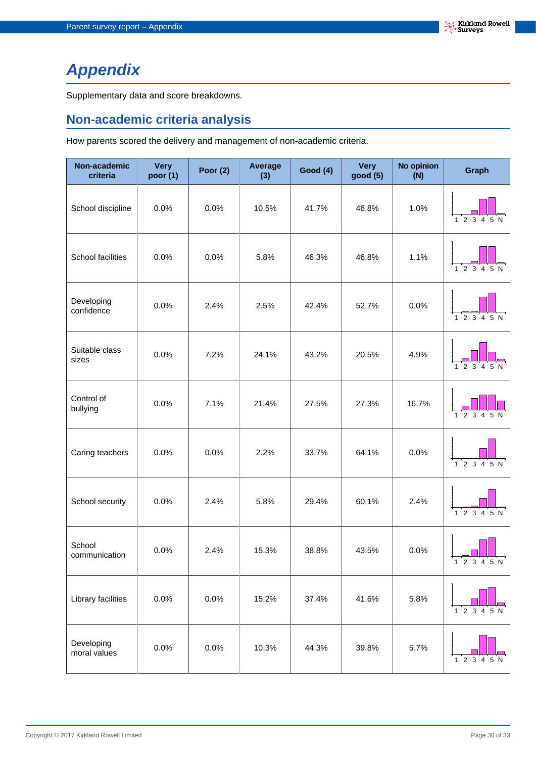# <span id="page-29-0"></span>**Appendix**

Supplementary data and score breakdowns.

## **Non-academic criteria analysis**

How parents scored the delivery and management of non-academic criteria.

| Non-academic<br>criteria   | <b>Very</b><br>poor (1) | Poor $(2)$ | Average<br>(3) | <b>Good (4)</b> | <b>Very</b><br>good (5) | No opinion<br>(N) | Graph                                            |
|----------------------------|-------------------------|------------|----------------|-----------------|-------------------------|-------------------|--------------------------------------------------|
| School discipline          | 0.0%                    | 0.0%       | 10.5%          | 41.7%           | 46.8%                   | 1.0%              | 12345N                                           |
| School facilities          | 0.0%                    | 0.0%       | 5.8%           | 46.3%           | 46.8%                   | 1.1%              | $1\ 2\ 3\ 4\ 5\ N$                               |
| Developing<br>confidence   | 0.0%                    | 2.4%       | 2.5%           | 42.4%           | 52.7%                   | 0.0%              | $1^{\circ}2^{\circ}3^{\circ}4^{\circ}5^{\circ}N$ |
| Suitable class<br>sizes    | 0.0%                    | 7.2%       | 24.1%          | 43.2%           | 20.5%                   | 4.9%              |                                                  |
| Control of<br>bullying     | 0.0%                    | 7.1%       | 21.4%          | 27.5%           | 27.3%                   | 16.7%             | 1 2 3 4 5 N                                      |
| Caring teachers            | 0.0%                    | 0.0%       | 2.2%           | 33.7%           | 64.1%                   | 0.0%              | $1\ 2\ 3\ 4\ 5\ N$                               |
| School security            | 0.0%                    | 2.4%       | 5.8%           | 29.4%           | 60.1%                   | 2.4%              | $1\ 2\ 3\ 4\ 5\ N$                               |
| School<br>communication    | 0.0%                    | 2.4%       | 15.3%          | 38.8%           | 43.5%                   | 0.0%              | 1 2 3 4 5 N                                      |
| Library facilities         | 0.0%                    | 0.0%       | 15.2%          | 37.4%           | 41.6%                   | 5.8%              | 1 2 3 4 5 N                                      |
| Developing<br>moral values | 0.0%                    | 0.0%       | 10.3%          | 44.3%           | 39.8%                   | 5.7%              | 1 2 3 4 5 N                                      |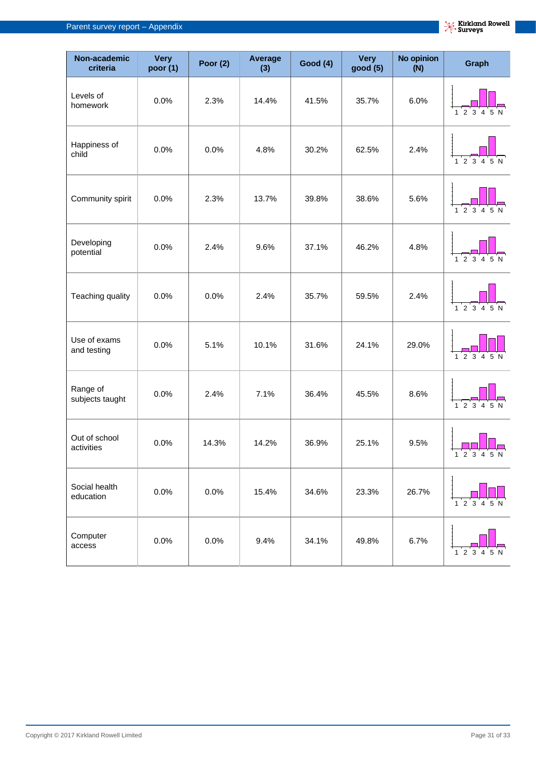| Non-academic<br>criteria    | <b>Very</b><br>poor (1) | Poor $(2)$ | Average<br>(3) | <b>Good (4)</b> | <b>Very</b><br>good (5) | No opinion<br>(N) | Graph                     |
|-----------------------------|-------------------------|------------|----------------|-----------------|-------------------------|-------------------|---------------------------|
| Levels of<br>homework       | 0.0%                    | 2.3%       | 14.4%          | 41.5%           | 35.7%                   | 6.0%              | 1 2 3 4 5 N               |
| Happiness of<br>child       | 0.0%                    | 0.0%       | 4.8%           | 30.2%           | 62.5%                   | 2.4%              | $1\ 2\ 3\ 4\ 5\ N$        |
| Community spirit            | 0.0%                    | 2.3%       | 13.7%          | 39.8%           | 38.6%                   | 5.6%              | $1\ 2\ 3\ 4\ 5\ N$        |
| Developing<br>potential     | 0.0%                    | 2.4%       | 9.6%           | 37.1%           | 46.2%                   | 4.8%              | 1 2 3 4 5 N               |
| Teaching quality            | 0.0%                    | 0.0%       | 2.4%           | 35.7%           | 59.5%                   | 2.4%              | $1\ 2\ 3\ 4\ 5\ N$        |
| Use of exams<br>and testing | 0.0%                    | 5.1%       | 10.1%          | 31.6%           | 24.1%                   | 29.0%             | <b>5N</b><br>$1\ 2\ 3\ 4$ |
| Range of<br>subjects taught | 0.0%                    | 2.4%       | 7.1%           | 36.4%           | 45.5%                   | 8.6%              | $1\ 2\ 3\ 4\ 5\ N$        |
| Out of school<br>activities | 0.0%                    | 14.3%      | 14.2%          | 36.9%           | 25.1%                   | 9.5%              | 1 2 3 4 5 N               |
| Social health<br>education  | 0.0%                    | 0.0%       | 15.4%          | 34.6%           | 23.3%                   | 26.7%             | 1 2 3 4 5 N               |
| Computer<br>access          | 0.0%                    | 0.0%       | 9.4%           | 34.1%           | 49.8%                   | 6.7%              | 1234<br>5 N               |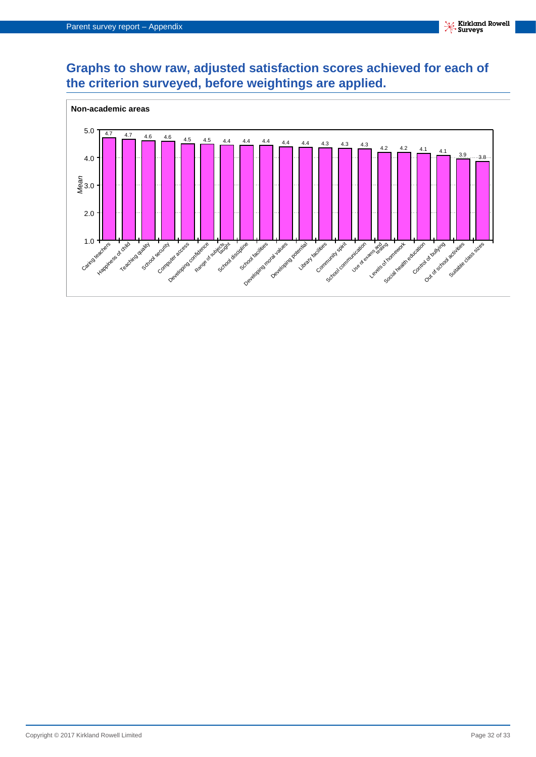## **Graphs to show raw, adjusted satisfaction scores achieved for each of the criterion surveyed, before weightings are applied.**